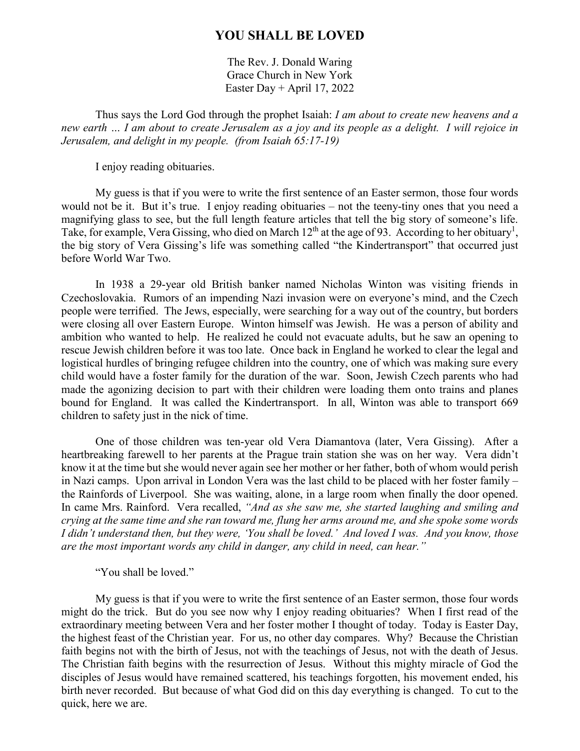## **YOU SHALL BE LOVED**

The Rev. J. Donald Waring Grace Church in New York Easter Day + April 17, 2022

Thus says the Lord God through the prophet Isaiah: *I am about to create new heavens and a new earth … I am about to create Jerusalem as a joy and its people as a delight. I will rejoice in Jerusalem, and delight in my people. (from Isaiah 65:17-19)*

I enjoy reading obituaries.

My guess is that if you were to write the first sentence of an Easter sermon, those four words would not be it. But it's true. I enjoy reading obituaries – not the teeny-tiny ones that you need a magnifying glass to see, but the full length feature articles that tell the big story of someone's life. Take, for example, Vera Gissing, who died on March  $12<sup>th</sup>$  at the age of 93. According to her obituary<sup>1</sup>, the big story of Vera Gissing's life was something called "the Kindertransport" that occurred just before World War Two.

In 1938 a 29-year old British banker named Nicholas Winton was visiting friends in Czechoslovakia. Rumors of an impending Nazi invasion were on everyone's mind, and the Czech people were terrified. The Jews, especially, were searching for a way out of the country, but borders were closing all over Eastern Europe. Winton himself was Jewish. He was a person of ability and ambition who wanted to help. He realized he could not evacuate adults, but he saw an opening to rescue Jewish children before it was too late. Once back in England he worked to clear the legal and logistical hurdles of bringing refugee children into the country, one of which was making sure every child would have a foster family for the duration of the war. Soon, Jewish Czech parents who had made the agonizing decision to part with their children were loading them onto trains and planes bound for England. It was called the Kindertransport. In all, Winton was able to transport 669 children to safety just in the nick of time.

One of those children was ten-year old Vera Diamantova (later, Vera Gissing). After a heartbreaking farewell to her parents at the Prague train station she was on her way. Vera didn't know it at the time but she would never again see her mother or her father, both of whom would perish in Nazi camps. Upon arrival in London Vera was the last child to be placed with her foster family – the Rainfords of Liverpool. She was waiting, alone, in a large room when finally the door opened. In came Mrs. Rainford. Vera recalled, *"And as she saw me, she started laughing and smiling and crying at the same time and she ran toward me, flung her arms around me, and she spoke some words I didn't understand then, but they were, 'You shall be loved.' And loved I was. And you know, those are the most important words any child in danger, any child in need, can hear."* 

"You shall be loved."

My guess is that if you were to write the first sentence of an Easter sermon, those four words might do the trick. But do you see now why I enjoy reading obituaries? When I first read of the extraordinary meeting between Vera and her foster mother I thought of today. Today is Easter Day, the highest feast of the Christian year. For us, no other day compares. Why? Because the Christian faith begins not with the birth of Jesus, not with the teachings of Jesus, not with the death of Jesus. The Christian faith begins with the resurrection of Jesus. Without this mighty miracle of God the disciples of Jesus would have remained scattered, his teachings forgotten, his movement ended, his birth never recorded. But because of what God did on this day everything is changed. To cut to the quick, here we are.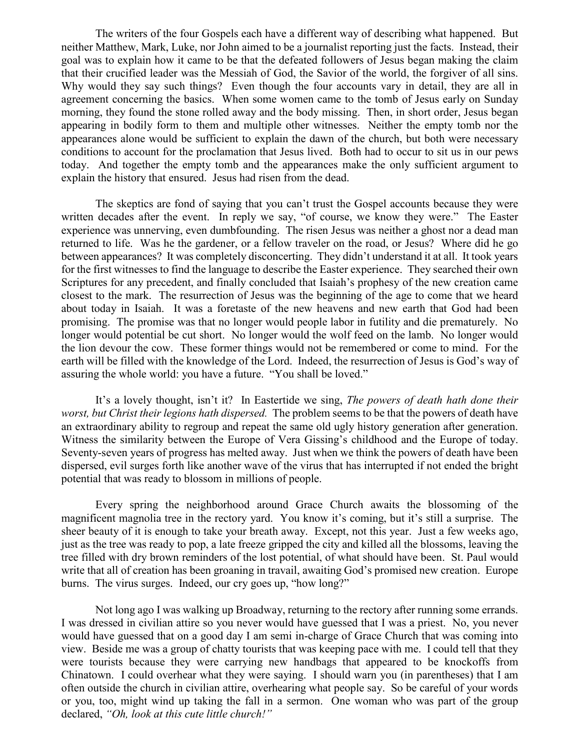The writers of the four Gospels each have a different way of describing what happened. But neither Matthew, Mark, Luke, nor John aimed to be a journalist reporting just the facts. Instead, their goal was to explain how it came to be that the defeated followers of Jesus began making the claim that their crucified leader was the Messiah of God, the Savior of the world, the forgiver of all sins. Why would they say such things? Even though the four accounts vary in detail, they are all in agreement concerning the basics. When some women came to the tomb of Jesus early on Sunday morning, they found the stone rolled away and the body missing. Then, in short order, Jesus began appearing in bodily form to them and multiple other witnesses. Neither the empty tomb nor the appearances alone would be sufficient to explain the dawn of the church, but both were necessary conditions to account for the proclamation that Jesus lived. Both had to occur to sit us in our pews today. And together the empty tomb and the appearances make the only sufficient argument to explain the history that ensured. Jesus had risen from the dead.

The skeptics are fond of saying that you can't trust the Gospel accounts because they were written decades after the event. In reply we say, "of course, we know they were." The Easter experience was unnerving, even dumbfounding. The risen Jesus was neither a ghost nor a dead man returned to life. Was he the gardener, or a fellow traveler on the road, or Jesus? Where did he go between appearances? It was completely disconcerting. They didn't understand it at all. It took years for the first witnesses to find the language to describe the Easter experience. They searched their own Scriptures for any precedent, and finally concluded that Isaiah's prophesy of the new creation came closest to the mark. The resurrection of Jesus was the beginning of the age to come that we heard about today in Isaiah. It was a foretaste of the new heavens and new earth that God had been promising. The promise was that no longer would people labor in futility and die prematurely. No longer would potential be cut short. No longer would the wolf feed on the lamb. No longer would the lion devour the cow. These former things would not be remembered or come to mind. For the earth will be filled with the knowledge of the Lord. Indeed, the resurrection of Jesus is God's way of assuring the whole world: you have a future. "You shall be loved."

It's a lovely thought, isn't it? In Eastertide we sing, *The powers of death hath done their worst, but Christ their legions hath dispersed.* The problem seems to be that the powers of death have an extraordinary ability to regroup and repeat the same old ugly history generation after generation. Witness the similarity between the Europe of Vera Gissing's childhood and the Europe of today. Seventy-seven years of progress has melted away. Just when we think the powers of death have been dispersed, evil surges forth like another wave of the virus that has interrupted if not ended the bright potential that was ready to blossom in millions of people.

Every spring the neighborhood around Grace Church awaits the blossoming of the magnificent magnolia tree in the rectory yard. You know it's coming, but it's still a surprise. The sheer beauty of it is enough to take your breath away. Except, not this year. Just a few weeks ago, just as the tree was ready to pop, a late freeze gripped the city and killed all the blossoms, leaving the tree filled with dry brown reminders of the lost potential, of what should have been. St. Paul would write that all of creation has been groaning in travail, awaiting God's promised new creation. Europe burns. The virus surges. Indeed, our cry goes up, "how long?"

Not long ago I was walking up Broadway, returning to the rectory after running some errands. I was dressed in civilian attire so you never would have guessed that I was a priest. No, you never would have guessed that on a good day I am semi in-charge of Grace Church that was coming into view. Beside me was a group of chatty tourists that was keeping pace with me. I could tell that they were tourists because they were carrying new handbags that appeared to be knockoffs from Chinatown. I could overhear what they were saying. I should warn you (in parentheses) that I am often outside the church in civilian attire, overhearing what people say. So be careful of your words or you, too, might wind up taking the fall in a sermon. One woman who was part of the group declared, *"Oh, look at this cute little church!"*